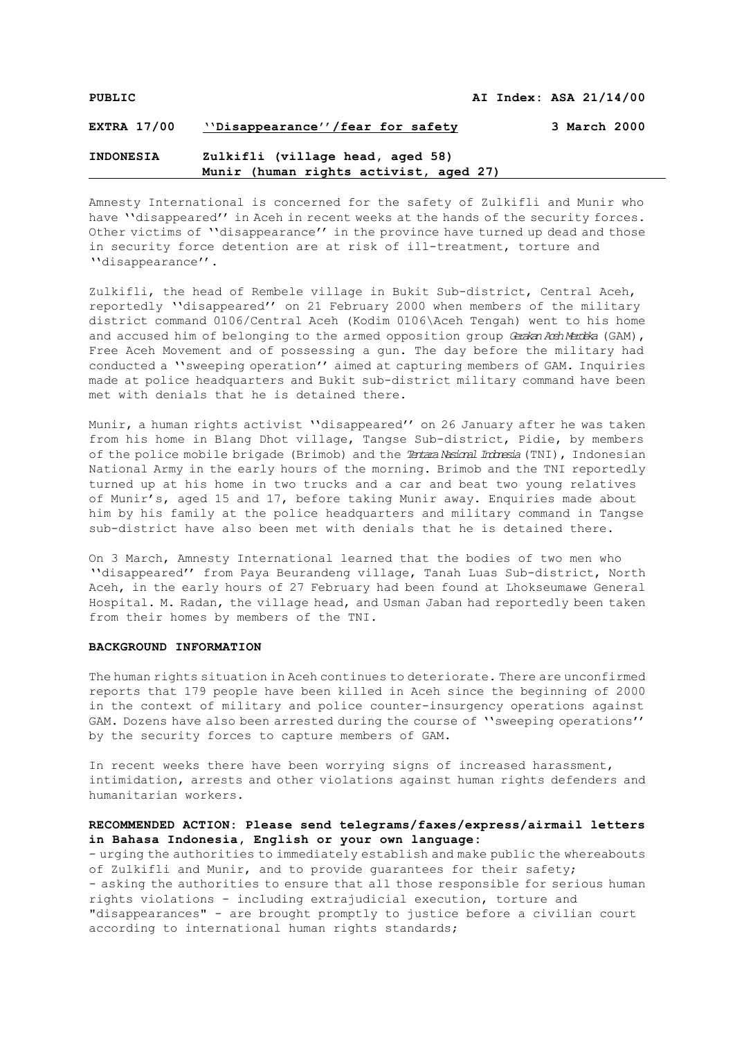Amnesty International is concerned for the safety of Zulkifli and Munir who have "disappeared" in Aceh in recent weeks at the hands of the security forces. Other victims of ''disappearance'' in the province have turned up dead and those in security force detention are at risk of ill-treatment, torture and ''disappearance''.

Zulkifli, the head of Rembele village in Bukit Sub-district, Central Aceh, reportedly ''disappeared'' on 21 February 2000 when members of the military district command 0106/Central Aceh (Kodim 0106\Aceh Tengah) went to his home and accused him of belonging to the armed opposition group *Geralan Ach Merdela* (GAM), Free Aceh Movement and of possessing a gun. The day before the military had conducted a ''sweeping operation'' aimed at capturing members of GAM. Inquiries made at police headquarters and Bukit sub-district military command have been met with denials that he is detained there.

Munir, a human rights activist ''disappeared'' on 26 January after he was taken from his home in Blang Dhot village, Tangse Sub-district, Pidie, by members of the police mobile brigade (Brimob) and the *Tentara Nasional Indonesia*(TNI), Indonesian National Army in the early hours of the morning. Brimob and the TNI reportedly turned up at his home in two trucks and a car and beat two young relatives of Munir's, aged 15 and 17, before taking Munir away. Enquiries made about him by his family at the police headquarters and military command in Tangse sub-district have also been met with denials that he is detained there.

On 3 March, Amnesty International learned that the bodies of two men who ''disappeared'' from Paya Beurandeng village, Tanah Luas Sub-district, North Aceh, in the early hours of 27 February had been found at Lhokseumawe General Hospital. M. Radan, the village head, and Usman Jaban had reportedly been taken from their homes by members of the TNI.

## **BACKGROUND INFORMATION**

The human rights situation in Aceh continues to deteriorate. There are unconfirmed reports that 179 people have been killed in Aceh since the beginning of 2000 in the context of military and police counter-insurgency operations against GAM. Dozens have also been arrested during the course of ''sweeping operations'' by the security forces to capture members of GAM.

In recent weeks there have been worrying signs of increased harassment, intimidation, arrests and other violations against human rights defenders and humanitarian workers.

## **RECOMMENDED ACTION: Please send telegrams/faxes/express/airmail letters in Bahasa Indonesia, English or your own language:**

- urging the authorities to immediately establish and make public the whereabouts of Zulkifli and Munir, and to provide guarantees for their safety; - asking the authorities to ensure that all those responsible for serious human rights violations - including extrajudicial execution, torture and "disappearances" - are brought promptly to justice before a civilian court according to international human rights standards;